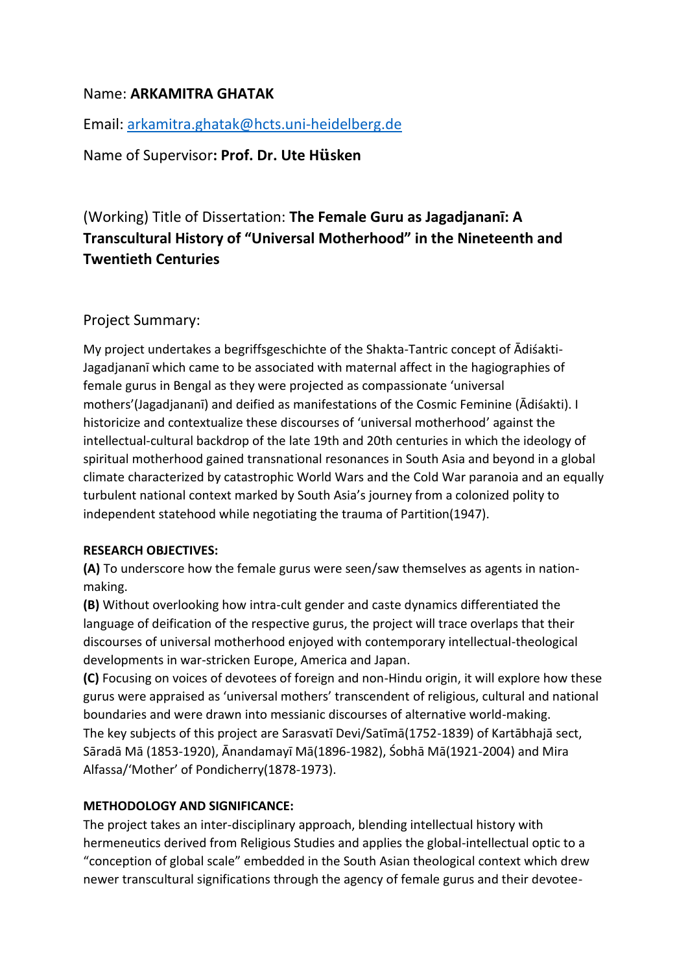# Name: **ARKAMITRA GHATAK**

Email: [arkamitra.ghatak@hcts.uni-heidelberg.de](mailto:arkamitra.ghatak@hcts.uni-heidelberg.de)

Name of Supervisor**: Prof. Dr. Ute Hüsken**

# (Working) Title of Dissertation: **The Female Guru as Jagadjananī: A Transcultural History of "Universal Motherhood" in the Nineteenth and Twentieth Centuries**

## Project Summary:

My project undertakes a begriffsgeschichte of the Shakta-Tantric concept of Ādiśakti-Jagadjananī which came to be associated with maternal affect in the hagiographies of female gurus in Bengal as they were projected as compassionate 'universal mothers'(Jagadjananī) and deified as manifestations of the Cosmic Feminine (Ādiśakti). I historicize and contextualize these discourses of 'universal motherhood' against the intellectual-cultural backdrop of the late 19th and 20th centuries in which the ideology of spiritual motherhood gained transnational resonances in South Asia and beyond in a global climate characterized by catastrophic World Wars and the Cold War paranoia and an equally turbulent national context marked by South Asia's journey from a colonized polity to independent statehood while negotiating the trauma of Partition(1947).

### **RESEARCH OBJECTIVES:**

**(A)** To underscore how the female gurus were seen/saw themselves as agents in nationmaking.

**(B)** Without overlooking how intra-cult gender and caste dynamics differentiated the language of deification of the respective gurus, the project will trace overlaps that their discourses of universal motherhood enjoyed with contemporary intellectual-theological developments in war-stricken Europe, America and Japan.

**(C)** Focusing on voices of devotees of foreign and non-Hindu origin, it will explore how these gurus were appraised as 'universal mothers' transcendent of religious, cultural and national boundaries and were drawn into messianic discourses of alternative world-making. The key subjects of this project are Sarasvatī Devi/Satīmā(1752-1839) of Kartābhajā sect, Sāradā Mā (1853-1920), Ānandamayī Mā(1896-1982), Śobhā Mā(1921-2004) and Mira Alfassa/'Mother' of Pondicherry(1878-1973).

### **METHODOLOGY AND SIGNIFICANCE:**

The project takes an inter-disciplinary approach, blending intellectual history with hermeneutics derived from Religious Studies and applies the global-intellectual optic to a "conception of global scale" embedded in the South Asian theological context which drew newer transcultural significations through the agency of female gurus and their devotee